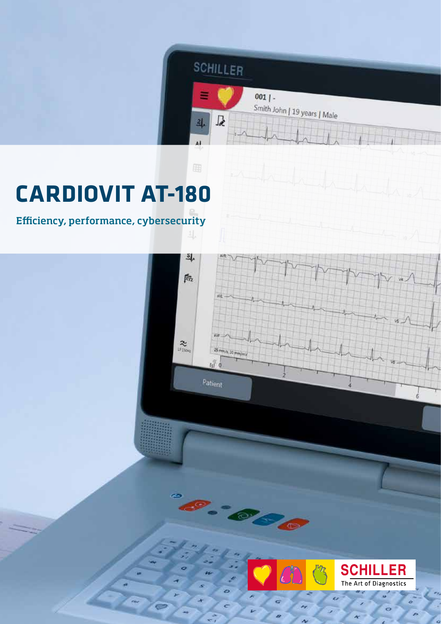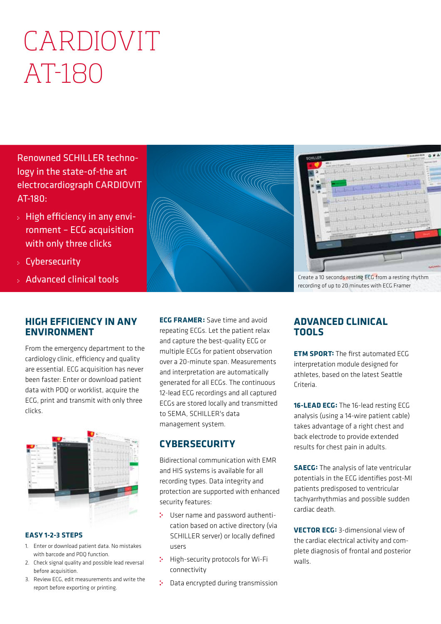# CARDIOVIT AT-180

Renowned SCHILLER technology in the state-of-the art electrocardiograph CARDIOVIT AT-180:

- High efficiency in any environment – ECG acquisition with only three clicks
- Cybersecurity
- Advanced clinical tools

### **HIGH EFFICIENCY IN ANY ENVIRONMENT**

From the emergency department to the cardiology clinic, efficiency and quality are essential. ECG acquisition has never been faster: Enter or download patient data with PDQ or worklist, acquire the ECG, print and transmit with only three clicks.



#### **EASY 1-2-3 STEPS**

- 1. Enter or download patient data. No mistakes with barcode and PDQ function.
- 2. Check signal quality and possible lead reversal before acquisition.
- 3. Review ECG, edit measurements and write the report before exporting or printing.

**ECG FRAMER:** Save time and avoid repeating ECGs. Let the patient relax and capture the best-quality ECG or multiple ECGs for patient observation over a 20-minute span. Measurements and interpretation are automatically generated for all ECGs. The continuous 12-lead ECG recordings and all captured ECGs are stored locally and transmitted to SEMA, SCHILLER's data management system.

## **CYBERSECURITY**

Bidirectional communication with EMR and HIS systems is available for all recording types. Data integrity and protection are supported with enhanced security features:

- User name and password authentication based on active directory (via SCHILLER server) or locally defined users
- High-security protocols for Wi-Fi connectivity
- : Data encrypted during transmission



Create a 10 seconds resting ECG from a resting rhythm recording of up to 20 minutes with ECG Framer

## **ADVANCED CLINICAL TOOLS**

**ETM SPORT:** The first automated ECG interpretation module designed for athletes, based on the latest Seattle Criteria.

**16-LEAD ECG:** The 16-lead resting ECG analysis (using a 14-wire patient cable) takes advantage of a right chest and back electrode to provide extended results for chest pain in adults.

**SAECG:** The analysis of late ventricular potentials in the ECG identifies post-MI patients predisposed to ventricular tachyarrhythmias and possible sudden cardiac death.

**VECTOR ECG:** 3-dimensional view of the cardiac electrical activity and complete diagnosis of frontal and posterior walls.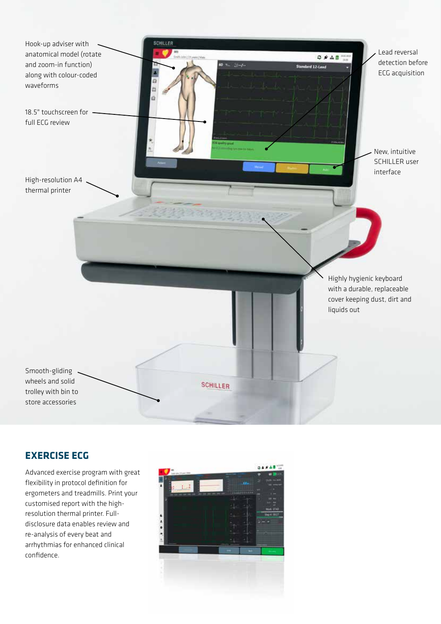

## **EXERCISE ECG**

Advanced exercise program with great flexibility in protocol definition for ergometers and treadmills. Print your customised report with the highresolution thermal printer. Fulldisclosure data enables review and re-analysis of every beat and arrhythmias for enhanced clinical confidence.